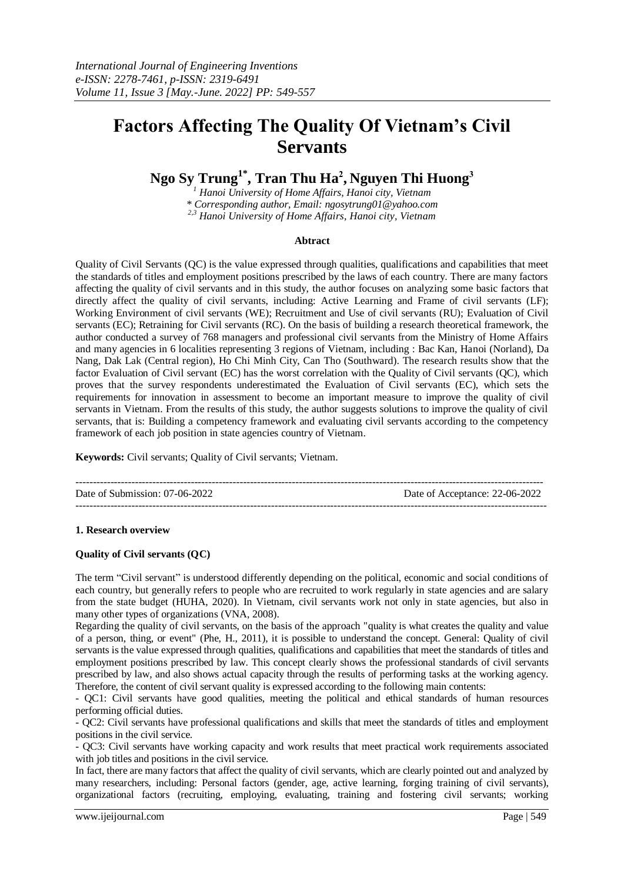# **Factors Affecting The Quality Of Vietnam's Civil Servants**

**Ngo Sy Trung1\* , Tran Thu Ha<sup>2</sup> , Nguyen Thi Huong<sup>3</sup>**

*<sup>1</sup> Hanoi University of Home Affairs, Hanoi city, Vietnam*

*\* Corresponding author, Email: ngosytrung01@yahoo.com*

*2,3 Hanoi University of Home Affairs, Hanoi city, Vietnam*

## **Abtract**

Quality of Civil Servants (QC) is the value expressed through qualities, qualifications and capabilities that meet the standards of titles and employment positions prescribed by the laws of each country. There are many factors affecting the quality of civil servants and in this study, the author focuses on analyzing some basic factors that directly affect the quality of civil servants, including: Active Learning and Frame of civil servants (LF); Working Environment of civil servants (WE); Recruitment and Use of civil servants (RU); Evaluation of Civil servants (EC); Retraining for Civil servants (RC). On the basis of building a research theoretical framework, the author conducted a survey of 768 managers and professional civil servants from the Ministry of Home Affairs and many agencies in 6 localities representing 3 regions of Vietnam, including : Bac Kan, Hanoi (Norland), Da Nang, Dak Lak (Central region), Ho Chi Minh City, Can Tho (Southward). The research results show that the factor Evaluation of Civil servant (EC) has the worst correlation with the Quality of Civil servants (QC), which proves that the survey respondents underestimated the Evaluation of Civil servants (EC), which sets the requirements for innovation in assessment to become an important measure to improve the quality of civil servants in Vietnam. From the results of this study, the author suggests solutions to improve the quality of civil servants, that is: Building a competency framework and evaluating civil servants according to the competency framework of each job position in state agencies country of Vietnam.

**Keywords:** Civil servants; Quality of Civil servants; Vietnam.

-------------------------------------------------------------------------------------------------------------------------------------- Date of Submission: 07-06-2022 Date of Acceptance: 22-06-2022 ---------------------------------------------------------------------------------------------------------------------------------------

## **1. Research overview**

## **Quality of Civil servants (QC)**

The term "Civil servant" is understood differently depending on the political, economic and social conditions of each country, but generally refers to people who are recruited to work regularly in state agencies and are salary from the state budget (HUHA, 2020). In Vietnam, civil servants work not only in state agencies, but also in many other types of organizations (VNA, 2008).

Regarding the quality of civil servants, on the basis of the approach "quality is what creates the quality and value of a person, thing, or event" (Phe, H., 2011), it is possible to understand the concept. General: Quality of civil servants is the value expressed through qualities, qualifications and capabilities that meet the standards of titles and employment positions prescribed by law. This concept clearly shows the professional standards of civil servants prescribed by law, and also shows actual capacity through the results of performing tasks at the working agency. Therefore, the content of civil servant quality is expressed according to the following main contents:

- QC1: Civil servants have good qualities, meeting the political and ethical standards of human resources performing official duties.

- QC2: Civil servants have professional qualifications and skills that meet the standards of titles and employment positions in the civil service.

- QC3: Civil servants have working capacity and work results that meet practical work requirements associated with job titles and positions in the civil service.

In fact, there are many factors that affect the quality of civil servants, which are clearly pointed out and analyzed by many researchers, including: Personal factors (gender, age, active learning, forging training of civil servants), organizational factors (recruiting, employing, evaluating, training and fostering civil servants; working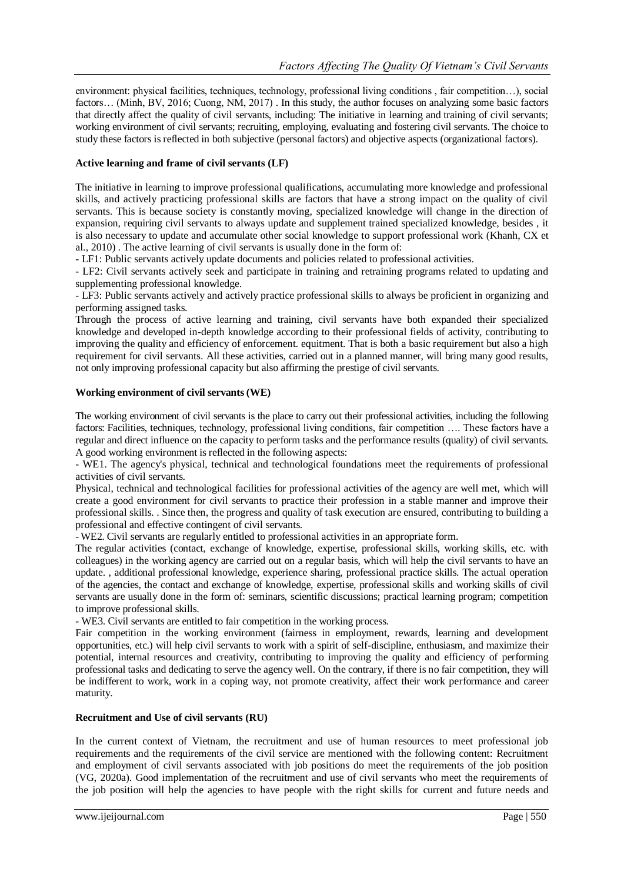environment: physical facilities, techniques, technology, professional living conditions , fair competition…), social factors… (Minh, BV, 2016; Cuong, NM, 2017) . In this study, the author focuses on analyzing some basic factors that directly affect the quality of civil servants, including: The initiative in learning and training of civil servants; working environment of civil servants; recruiting, employing, evaluating and fostering civil servants. The choice to study these factors is reflected in both subjective (personal factors) and objective aspects (organizational factors).

## **Active learning and frame of civil servants (LF)**

The initiative in learning to improve professional qualifications, accumulating more knowledge and professional skills, and actively practicing professional skills are factors that have a strong impact on the quality of civil servants. This is because society is constantly moving, specialized knowledge will change in the direction of expansion, requiring civil servants to always update and supplement trained specialized knowledge, besides , it is also necessary to update and accumulate other social knowledge to support professional work (Khanh, CX et al., 2010) . The active learning of civil servants is usually done in the form of:

- LF1: Public servants actively update documents and policies related to professional activities.

- LF2: Civil servants actively seek and participate in training and retraining programs related to updating and supplementing professional knowledge.

- LF3: Public servants actively and actively practice professional skills to always be proficient in organizing and performing assigned tasks.

Through the process of active learning and training, civil servants have both expanded their specialized knowledge and developed in-depth knowledge according to their professional fields of activity, contributing to improving the quality and efficiency of enforcement. equitment. That is both a basic requirement but also a high requirement for civil servants. All these activities, carried out in a planned manner, will bring many good results, not only improving professional capacity but also affirming the prestige of civil servants.

## **Working environment of civil servants (WE)**

The working environment of civil servants is the place to carry out their professional activities, including the following factors: Facilities, techniques, technology, professional living conditions, fair competition …. These factors have a regular and direct influence on the capacity to perform tasks and the performance results (quality) of civil servants. A good working environment is reflected in the following aspects:

- WE1. The agency's physical, technical and technological foundations meet the requirements of professional activities of civil servants.

Physical, technical and technological facilities for professional activities of the agency are well met, which will create a good environment for civil servants to practice their profession in a stable manner and improve their professional skills. . Since then, the progress and quality of task execution are ensured, contributing to building a professional and effective contingent of civil servants.

- WE2. Civil servants are regularly entitled to professional activities in an appropriate form.

The regular activities (contact, exchange of knowledge, expertise, professional skills, working skills, etc. with colleagues) in the working agency are carried out on a regular basis, which will help the civil servants to have an update. , additional professional knowledge, experience sharing, professional practice skills. The actual operation of the agencies, the contact and exchange of knowledge, expertise, professional skills and working skills of civil servants are usually done in the form of: seminars, scientific discussions; practical learning program; competition to improve professional skills.

- WE3. Civil servants are entitled to fair competition in the working process.

Fair competition in the working environment (fairness in employment, rewards, learning and development opportunities, etc.) will help civil servants to work with a spirit of self-discipline, enthusiasm, and maximize their potential, internal resources and creativity, contributing to improving the quality and efficiency of performing professional tasks and dedicating to serve the agency well. On the contrary, if there is no fair competition, they will be indifferent to work, work in a coping way, not promote creativity, affect their work performance and career maturity.

## **Recruitment and Use of civil servants (RU)**

In the current context of Vietnam, the recruitment and use of human resources to meet professional job requirements and the requirements of the civil service are mentioned with the following content: Recruitment and employment of civil servants associated with job positions do meet the requirements of the job position (VG, 2020a). Good implementation of the recruitment and use of civil servants who meet the requirements of the job position will help the agencies to have people with the right skills for current and future needs and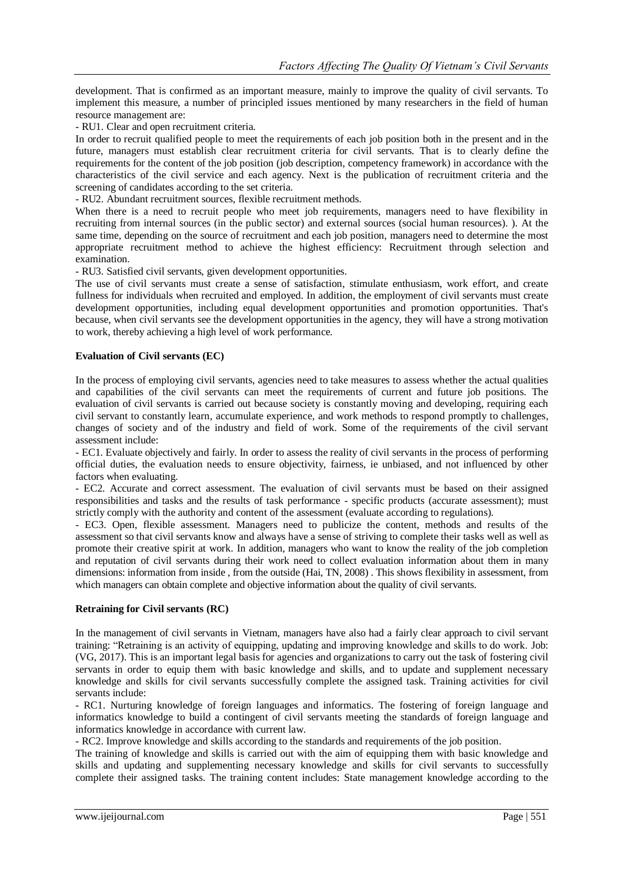development. That is confirmed as an important measure, mainly to improve the quality of civil servants. To implement this measure, a number of principled issues mentioned by many researchers in the field of human resource management are:

- RU1. Clear and open recruitment criteria.

In order to recruit qualified people to meet the requirements of each job position both in the present and in the future, managers must establish clear recruitment criteria for civil servants. That is to clearly define the requirements for the content of the job position (job description, competency framework) in accordance with the characteristics of the civil service and each agency. Next is the publication of recruitment criteria and the screening of candidates according to the set criteria.

- RU2. Abundant recruitment sources, flexible recruitment methods.

When there is a need to recruit people who meet job requirements, managers need to have flexibility in recruiting from internal sources (in the public sector) and external sources (social human resources). ). At the same time, depending on the source of recruitment and each job position, managers need to determine the most appropriate recruitment method to achieve the highest efficiency: Recruitment through selection and examination.

- RU3. Satisfied civil servants, given development opportunities.

The use of civil servants must create a sense of satisfaction, stimulate enthusiasm, work effort, and create fullness for individuals when recruited and employed. In addition, the employment of civil servants must create development opportunities, including equal development opportunities and promotion opportunities. That's because, when civil servants see the development opportunities in the agency, they will have a strong motivation to work, thereby achieving a high level of work performance.

## **Evaluation of Civil servants (EC)**

In the process of employing civil servants, agencies need to take measures to assess whether the actual qualities and capabilities of the civil servants can meet the requirements of current and future job positions. The evaluation of civil servants is carried out because society is constantly moving and developing, requiring each civil servant to constantly learn, accumulate experience, and work methods to respond promptly to challenges, changes of society and of the industry and field of work. Some of the requirements of the civil servant assessment include:

- EC1. Evaluate objectively and fairly. In order to assess the reality of civil servants in the process of performing official duties, the evaluation needs to ensure objectivity, fairness, ie unbiased, and not influenced by other factors when evaluating.

- EC2. Accurate and correct assessment. The evaluation of civil servants must be based on their assigned responsibilities and tasks and the results of task performance - specific products (accurate assessment); must strictly comply with the authority and content of the assessment (evaluate according to regulations).

- EC3. Open, flexible assessment. Managers need to publicize the content, methods and results of the assessment so that civil servants know and always have a sense of striving to complete their tasks well as well as promote their creative spirit at work. In addition, managers who want to know the reality of the job completion and reputation of civil servants during their work need to collect evaluation information about them in many dimensions: information from inside , from the outside (Hai, TN, 2008) . This shows flexibility in assessment, from which managers can obtain complete and objective information about the quality of civil servants.

## **Retraining for Civil servants (RC)**

In the management of civil servants in Vietnam, managers have also had a fairly clear approach to civil servant training: "Retraining is an activity of equipping, updating and improving knowledge and skills to do work. Job: (VG, 2017). This is an important legal basis for agencies and organizations to carry out the task of fostering civil servants in order to equip them with basic knowledge and skills, and to update and supplement necessary knowledge and skills for civil servants successfully complete the assigned task. Training activities for civil servants include:

- RC1. Nurturing knowledge of foreign languages and informatics. The fostering of foreign language and informatics knowledge to build a contingent of civil servants meeting the standards of foreign language and informatics knowledge in accordance with current law.

- RC2. Improve knowledge and skills according to the standards and requirements of the job position.

The training of knowledge and skills is carried out with the aim of equipping them with basic knowledge and skills and updating and supplementing necessary knowledge and skills for civil servants to successfully complete their assigned tasks. The training content includes: State management knowledge according to the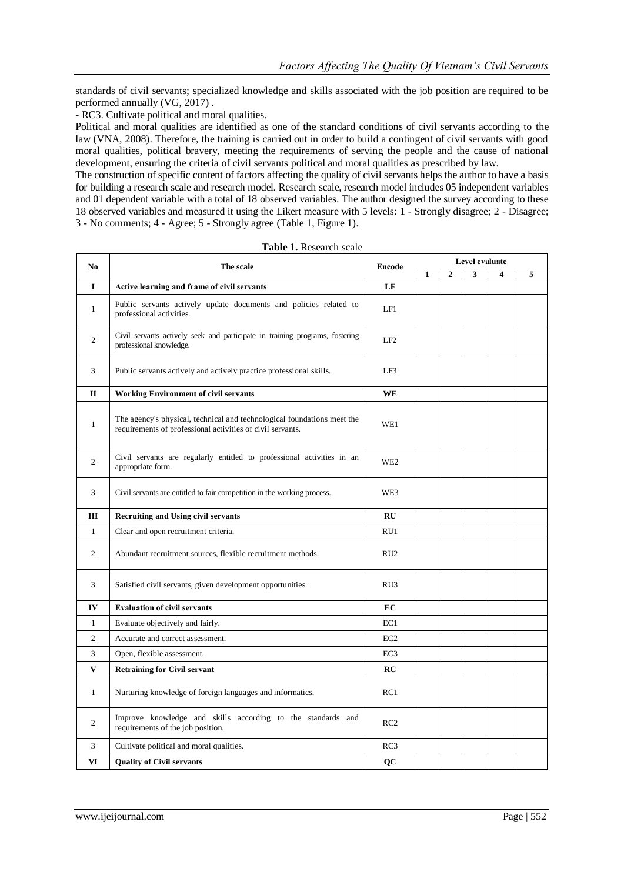standards of civil servants; specialized knowledge and skills associated with the job position are required to be performed annually (VG, 2017) .

- RC3. Cultivate political and moral qualities.

Political and moral qualities are identified as one of the standard conditions of civil servants according to the law (VNA, 2008). Therefore, the training is carried out in order to build a contingent of civil servants with good moral qualities, political bravery, meeting the requirements of serving the people and the cause of national development, ensuring the criteria of civil servants political and moral qualities as prescribed by law.

The construction of specific content of factors affecting the quality of civil servants helps the author to have a basis for building a research scale and research model. Research scale, research model includes 05 independent variables and 01 dependent variable with a total of 18 observed variables. The author designed the survey according to these 18 observed variables and measured it using the Likert measure with 5 levels: 1 - Strongly disagree; 2 - Disagree; 3 - No comments; 4 - Agree; 5 - Strongly agree (Table 1, Figure 1).

|                | N <sub>0</sub><br>The scale                                                                                                           |                 | Level evaluate |              |   |                         |   |  |
|----------------|---------------------------------------------------------------------------------------------------------------------------------------|-----------------|----------------|--------------|---|-------------------------|---|--|
|                |                                                                                                                                       | <b>Encode</b>   | 1              | $\mathbf{2}$ | 3 | $\overline{\mathbf{4}}$ | 5 |  |
| 1              | Active learning and frame of civil servants                                                                                           | LF              |                |              |   |                         |   |  |
| $\mathbf{1}$   | Public servants actively update documents and policies related to<br>professional activities.                                         | LF1             |                |              |   |                         |   |  |
| $\overline{c}$ | Civil servants actively seek and participate in training programs, fostering<br>professional knowledge.                               | LF2             |                |              |   |                         |   |  |
| 3              | Public servants actively and actively practice professional skills.                                                                   | LF3             |                |              |   |                         |   |  |
| $\mathbf{I}$   | <b>Working Environment of civil servants</b>                                                                                          | <b>WE</b>       |                |              |   |                         |   |  |
| 1              | The agency's physical, technical and technological foundations meet the<br>requirements of professional activities of civil servants. |                 |                |              |   |                         |   |  |
| 2              | Civil servants are regularly entitled to professional activities in an<br>appropriate form.                                           | WE <sub>2</sub> |                |              |   |                         |   |  |
| 3              | Civil servants are entitled to fair competition in the working process.                                                               |                 |                |              |   |                         |   |  |
| III            | <b>Recruiting and Using civil servants</b>                                                                                            | RU              |                |              |   |                         |   |  |
| $\mathbf{1}$   | Clear and open recruitment criteria.                                                                                                  | RU1             |                |              |   |                         |   |  |
| $\overline{2}$ | Abundant recruitment sources, flexible recruitment methods.                                                                           | RU <sub>2</sub> |                |              |   |                         |   |  |
| 3              | Satisfied civil servants, given development opportunities.                                                                            | RU3             |                |              |   |                         |   |  |
| IV             | <b>Evaluation of civil servants</b>                                                                                                   | EC              |                |              |   |                         |   |  |
| $\mathbf{1}$   | Evaluate objectively and fairly.                                                                                                      | EC1             |                |              |   |                         |   |  |
| 2              | Accurate and correct assessment.                                                                                                      | EC <sub>2</sub> |                |              |   |                         |   |  |
| 3              | Open, flexible assessment.                                                                                                            | EC <sub>3</sub> |                |              |   |                         |   |  |
| V              | <b>Retraining for Civil servant</b>                                                                                                   | RC              |                |              |   |                         |   |  |
| $\mathbf{1}$   | Nurturing knowledge of foreign languages and informatics.                                                                             | RC1             |                |              |   |                         |   |  |
| $\overline{c}$ | Improve knowledge and skills according to the standards and<br>requirements of the job position.                                      | RC2             |                |              |   |                         |   |  |
| 3              | Cultivate political and moral qualities.                                                                                              | RC3             |                |              |   |                         |   |  |
| VI             | <b>Quality of Civil servants</b>                                                                                                      | QC              |                |              |   |                         |   |  |

|  | <b>Table 1.</b> Research scale |  |
|--|--------------------------------|--|
|--|--------------------------------|--|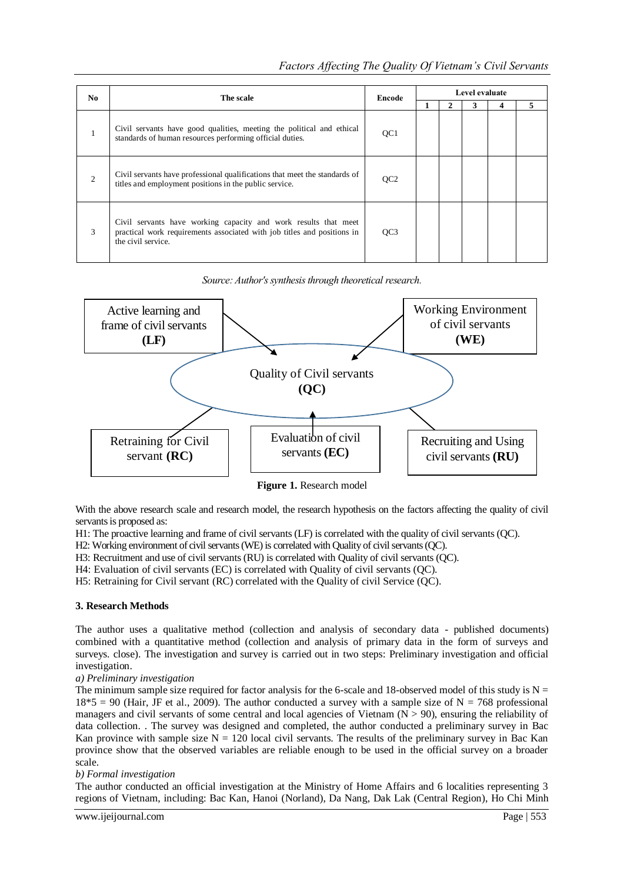| N <sub>0</sub> | The scale                                                                                                                                                        | Encode          | Level evaluate |  |  |  |  |  |
|----------------|------------------------------------------------------------------------------------------------------------------------------------------------------------------|-----------------|----------------|--|--|--|--|--|
|                |                                                                                                                                                                  |                 |                |  |  |  |  |  |
|                | Civil servants have good qualities, meeting the political and ethical<br>standards of human resources performing official duties.                                | QC <sub>1</sub> |                |  |  |  |  |  |
| $\overline{2}$ | Civil servants have professional qualifications that meet the standards of<br>titles and employment positions in the public service.                             | OC <sub>2</sub> |                |  |  |  |  |  |
| 3              | Civil servants have working capacity and work results that meet<br>practical work requirements associated with job titles and positions in<br>the civil service. | OC <sub>3</sub> |                |  |  |  |  |  |

*Source: Author's synthesis through theoretical research.*



**Figure 1.** Research model

With the above research scale and research model, the research hypothesis on the factors affecting the quality of civil servants is proposed as:

H1: The proactive learning and frame of civil servants (LF) is correlated with the quality of civil servants (QC).

H2: Working environment of civil servants (WE) is correlated with Quality of civil servants (QC).

H3: Recruitment and use of civil servants (RU) is correlated with Quality of civil servants (QC).

H4: Evaluation of civil servants (EC) is correlated with Quality of civil servants (QC).

H5: Retraining for Civil servant (RC) correlated with the Quality of civil Service (QC).

## **3. Research Methods**

The author uses a qualitative method (collection and analysis of secondary data - published documents) combined with a quantitative method (collection and analysis of primary data in the form of surveys and surveys. close). The investigation and survey is carried out in two steps: Preliminary investigation and official investigation.

## *a) Preliminary investigation*

The minimum sample size required for factor analysis for the 6-scale and 18-observed model of this study is  $N =$  $18*5 = 90$  (Hair, JF et al., 2009). The author conducted a survey with a sample size of N = 768 professional managers and civil servants of some central and local agencies of Vietnam  $(N > 90)$ , ensuring the reliability of data collection. . The survey was designed and completed, the author conducted a preliminary survey in Bac Kan province with sample size  $N = 120$  local civil servants. The results of the preliminary survey in Bac Kan province show that the observed variables are reliable enough to be used in the official survey on a broader scale.

## *b) Formal investigation*

The author conducted an official investigation at the Ministry of Home Affairs and 6 localities representing 3 regions of Vietnam, including: Bac Kan, Hanoi (Norland), Da Nang, Dak Lak (Central Region), Ho Chi Minh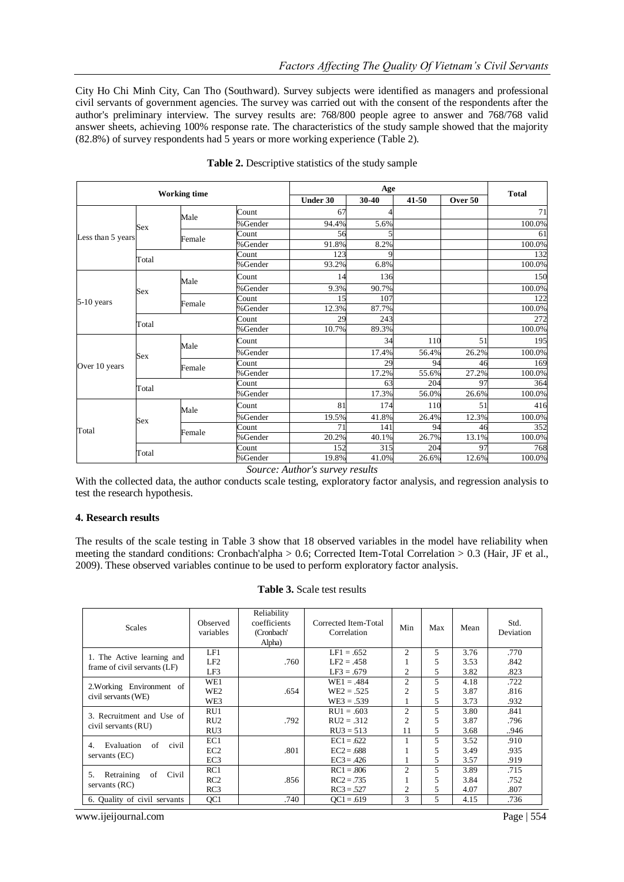City Ho Chi Minh City, Can Tho (Southward). Survey subjects were identified as managers and professional civil servants of government agencies. The survey was carried out with the consent of the respondents after the author's preliminary interview. The survey results are: 768/800 people agree to answer and 768/768 valid answer sheets, achieving 100% response rate. The characteristics of the study sample showed that the majority (82.8%) of survey respondents had 5 years or more working experience (Table 2).

| <b>Working time</b> |            |        |         | <b>Total</b> |       |       |         |        |
|---------------------|------------|--------|---------|--------------|-------|-------|---------|--------|
|                     |            |        |         | Under 30     | 30-40 | 41-50 | Over 50 |        |
|                     |            | Male   | Count   | 67           |       |       |         | 71     |
| Less than 5 years   | Sex        |        | %Gender | 94.4%        | 5.6%  |       |         | 100.0% |
|                     |            |        | Count   | 56           |       |       |         | 61     |
|                     |            | Female | %Gender | 91.8%        | 8.2%  |       |         | 100.0% |
|                     | Total      |        | Count   | 123          |       |       |         | 132    |
|                     |            |        | %Gender | 93.2%        | 6.8%  |       |         | 100.0% |
|                     |            | Male   | Count   | 14           | 136   |       |         | 150    |
| 5-10 years          | <b>Sex</b> |        | %Gender | 9.3%         | 90.7% |       |         | 100.0% |
|                     |            |        | Count   | 15           | 107   |       |         | 122    |
|                     |            | Female | %Gender | 12.3%        | 87.7% |       |         | 100.0% |
|                     | Total      |        | Count   | 29           | 243   |       |         | 272    |
|                     |            |        | %Gender | 10.7%        | 89.3% |       |         | 100.0% |
|                     | Sex        | Male   | Count   |              | 34    | 110   | 51      | 195    |
|                     |            |        | %Gender |              | 17.4% | 56.4% | 26.2%   | 100.0% |
| Over 10 years       |            | Female | Count   |              | 29    | 94    | 46      | 169    |
|                     |            |        | %Gender |              | 17.2% | 55.6% | 27.2%   | 100.0% |
|                     | Total      |        | Count   |              | 63    | 204   | 97      | 364    |
|                     |            |        | %Gender |              | 17.3% | 56.0% | 26.6%   | 100.0% |
|                     |            | Male   | Count   | 81           | 174   | 110   | 51      | 416    |
|                     | Sex        |        | %Gender | 19.5%        | 41.8% | 26.4% | 12.3%   | 100.0% |
| Total               |            | Female | Count   | 71           | 141   | 94    | 46      | 352    |
|                     |            |        | %Gender | 20.2%        | 40.1% | 26.7% | 13.1%   | 100.0% |
|                     |            |        | Count   | 152          | 315   | 204   | 97      | 768    |
|                     | Total      |        | %Gender | 19.8%        | 41.0% | 26.6% | 12.6%   | 100.0% |

| Table 2. Descriptive statistics of the study sample |  |  |  |  |  |  |
|-----------------------------------------------------|--|--|--|--|--|--|
|-----------------------------------------------------|--|--|--|--|--|--|

*Source: Author's survey results*

With the collected data, the author conducts scale testing, exploratory factor analysis, and regression analysis to test the research hypothesis.

#### **4. Research results**

The results of the scale testing in Table 3 show that 18 observed variables in the model have reliability when meeting the standard conditions: Cronbach'alpha > 0.6; Corrected Item-Total Correlation > 0.3 (Hair, JF et al., 2009). These observed variables continue to be used to perform exploratory factor analysis.

| <b>Scales</b>                   | Observed<br>variables | Reliability<br>coefficients<br>(Cronbach'<br>Alpha) | Corrected Item-Total<br>Correlation | Min            | Max | Mean | Std.<br>Deviation |
|---------------------------------|-----------------------|-----------------------------------------------------|-------------------------------------|----------------|-----|------|-------------------|
| 1. The Active learning and      | LF1                   |                                                     | $LF1 = .652$                        | 2              | 5   | 3.76 | .770              |
| frame of civil servants (LF)    | LE2                   | .760                                                | $LF2 = .458$                        |                | 5   | 3.53 | .842              |
|                                 | LF3                   |                                                     | $LF3 = .679$                        | 2              | 5   | 3.82 | .823              |
| 2. Working Environment of       | WE1                   |                                                     | $WE1 = .484$                        | 2              | 5   | 4.18 | .722              |
| civil servants (WE)             | WE <sub>2</sub>       | .654                                                | $WE2 = .525$                        | $\overline{c}$ | 5   | 3.87 | .816              |
|                                 | WE3                   |                                                     | $WE3 = .539$                        |                | 5   | 3.73 | .932              |
| 3. Recruitment and Use of       | RU1                   |                                                     | $RU1 = .603$                        | 2              | 5   | 3.80 | .841              |
|                                 | RU2                   | .792                                                | $RU2 = .312$                        | $\mathfrak{D}$ | 5   | 3.87 | .796              |
| civil servants (RU)             | RU3                   |                                                     | $RU3 = 513$                         | 11             | 5   | 3.68 | 946               |
| of<br>Evaluation<br>civil<br>4. | EC1                   |                                                     | $EC1 = .622$                        |                | 5   | 3.52 | .910              |
|                                 | EC <sub>2</sub>       | .801                                                | $EC2 = .688$                        |                | 5   | 3.49 | .935              |
| servants (EC)                   | EC <sub>3</sub>       |                                                     | $EC3 = .426$                        | 1              | 5   | 3.57 | .919              |
| of<br>5.                        | RC1                   |                                                     | $RC1 = .806$                        | 2              | 5   | 3.89 | .715              |
| Retraining<br>Civil             | RC2                   | .856                                                | $RC2 = .735$                        |                | 5   | 3.84 | .752              |
| servants $(RC)$                 | RC3                   |                                                     | $RC3 = 527$                         | 2              | 5   | 4.07 | .807              |
| 6. Quality of civil servants    | OC <sub>1</sub>       | .740                                                | $OC1 = .619$                        | 3              | 5   | 4.15 | .736              |

www.ijeijournal.com Page | 554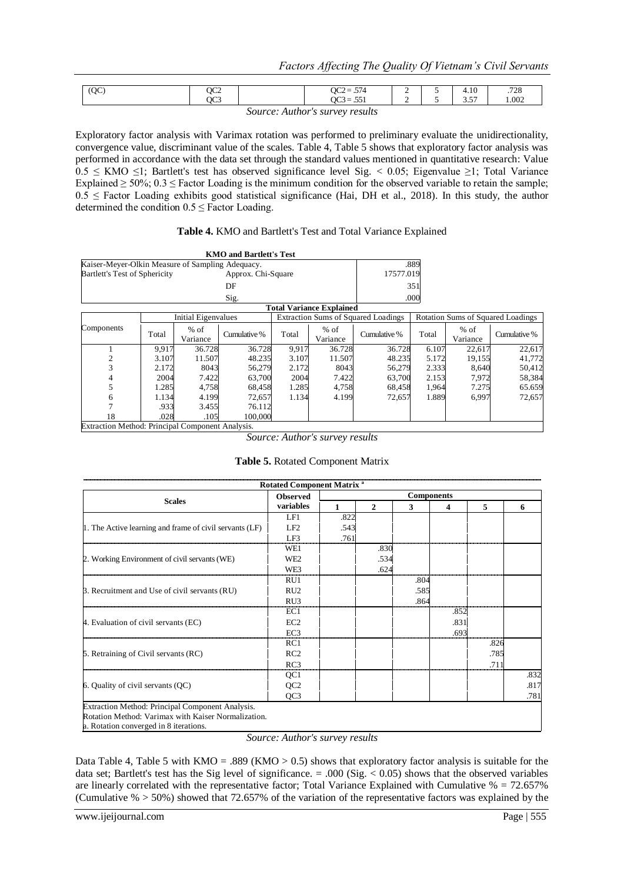| (QC) | QC <sub>2</sub> | $\sim$<br>$-$<br>QC2 = $3/4$               | <b>_</b><br>— | ◡                        | $+.10$        | 700<br>.120 |
|------|-----------------|--------------------------------------------|---------------|--------------------------|---------------|-------------|
|      | OC3             | $\sim$<br>$-71$<br>vw-                     | -             | <b>STATISTICS</b><br>- - | $-$<br>، ب. ب | 1.002       |
|      |                 | <b>Contract Contract Contract Contract</b> |               |                          |               |             |

*Source: Author's survey results*

Exploratory factor analysis with Varimax rotation was performed to preliminary evaluate the unidirectionality, convergence value, discriminant value of the scales. Table 4, Table 5 shows that exploratory factor analysis was performed in accordance with the data set through the standard values mentioned in quantitative research: Value  $0.5 \leq KMO \leq 1$ ; Bartlett's test has observed significance level Sig. < 0.05; Eigenvalue ≥1; Total Variance Explained  $\geq 50\%$ ; 0.3  $\leq$  Factor Loading is the minimum condition for the observed variable to retain the sample;  $0.5 \leq$  Factor Loading exhibits good statistical significance (Hai, DH et al., 2018). In this study, the author determined the condition  $0.5 \leq$  Factor Loading.

## **Table 4.** KMO and Bartlett's Test and Total Variance Explained

|                                                  |       |                     | <b>KMO and Bartlett's Test</b> |       |                                 |                                            |       |                    |                                          |
|--------------------------------------------------|-------|---------------------|--------------------------------|-------|---------------------------------|--------------------------------------------|-------|--------------------|------------------------------------------|
| Kaiser-Meyer-Olkin Measure of Sampling Adequacy. |       |                     |                                |       |                                 |                                            | .889  |                    |                                          |
| Bartlett's Test of Sphericity                    |       |                     | Approx. Chi-Square             |       |                                 | 17577.019                                  |       |                    |                                          |
|                                                  |       |                     | DF                             |       |                                 |                                            | 351   |                    |                                          |
|                                                  |       |                     | Sig.                           |       |                                 |                                            | .000  |                    |                                          |
|                                                  |       |                     |                                |       | <b>Total Variance Explained</b> |                                            |       |                    |                                          |
|                                                  |       | Initial Eigenvalues |                                |       |                                 | <b>Extraction Sums of Squared Loadings</b> |       |                    | <b>Rotation Sums of Squared Loadings</b> |
| Components                                       | Total | $%$ of<br>Variance  | Cumulative %                   | Total | $%$ of<br>Variance              | Cumulative %                               | Total | $%$ of<br>Variance | Cumulative %                             |
|                                                  | 9,917 | 36.728              | 36.728                         | 9,917 | 36.728                          | 36.728                                     | 6.107 | 22,617             | 22,617                                   |
| 2                                                | 3.107 | 11.507              | 48.235                         | 3.107 | 11.507                          | 48.235                                     | 5.172 | 19,155             | 41,772                                   |
| 3                                                | 2.172 | 8043                | 56,279                         | 2.172 | 8043                            | 56,279                                     | 2.333 | 8,640              | 50,412                                   |
| 4                                                | 2004  | 7.422               | 63,700                         | 2004  | 7.422                           | 63,700                                     | 2.153 | 7,972              | 58,384                                   |
| 5                                                | 1.285 | 4,758               | 68,458                         | 1.285 | 4,758                           | 68,458                                     | 1,964 | 7.275              | 65.659                                   |
| 6                                                | 1.134 | 4.199               | 72,657                         | 1.134 | 4.199                           | 72,657                                     | 1.889 | 6,997              | 72,657                                   |
|                                                  | .933  | 3.455               | 76.112                         |       |                                 |                                            |       |                    |                                          |
| 18                                               | .028  | .105                | 100,000                        |       |                                 |                                            |       |                    |                                          |
| Extraction Method: Principal Component Analysis. |       |                     |                                |       |                                 |                                            |       |                    |                                          |

*Source: Author's survey results*

## **Table 5.** Rotated Component Matrix

|                                                         | Rotated Component Matrix <sup>a</sup> |                   |              |      |      |              |      |  |
|---------------------------------------------------------|---------------------------------------|-------------------|--------------|------|------|--------------|------|--|
|                                                         | <b>Observed</b>                       | <b>Components</b> |              |      |      |              |      |  |
| <b>Scales</b>                                           | variables                             | 1                 | $\mathbf{2}$ | 3    | 4    | 5            | 6    |  |
|                                                         | LF1                                   | .822              |              |      |      |              |      |  |
| 1. The Active learning and frame of civil servants (LF) | LF2                                   | .543              |              |      |      |              |      |  |
|                                                         | LF3                                   | .761              |              |      |      |              |      |  |
|                                                         | WE1                                   |                   | .830         |      |      |              |      |  |
| 2. Working Environment of civil servants (WE)           | WE <sub>2</sub>                       |                   | .534         |      |      |              |      |  |
|                                                         | WE3                                   |                   | .624         |      |      |              |      |  |
|                                                         | RU1                                   |                   |              | .804 |      |              |      |  |
| 3. Recruitment and Use of civil servants (RU)           | RU2                                   |                   |              | .585 |      |              |      |  |
|                                                         | RU3                                   |                   |              | .864 |      |              |      |  |
|                                                         | EC1                                   |                   |              |      | .852 |              |      |  |
| 4. Evaluation of civil servants (EC)                    | EC <sub>2</sub>                       |                   |              |      | .831 |              |      |  |
|                                                         | EC <sub>3</sub>                       |                   |              |      | .693 |              |      |  |
|                                                         | RC1                                   |                   |              |      |      | .826         |      |  |
| 5. Retraining of Civil servants (RC)                    | RC2                                   |                   |              |      |      | .785         |      |  |
|                                                         | RC3                                   |                   |              |      |      | $71^{\circ}$ |      |  |
|                                                         | QC <sub>1</sub>                       |                   |              |      |      |              | .832 |  |
| 6. Quality of civil servants (QC)                       | QC <sub>2</sub>                       |                   |              |      |      |              | .817 |  |
|                                                         | QC <sub>3</sub>                       |                   |              |      |      |              | .781 |  |
| Extraction Method: Principal Component Analysis.        |                                       |                   |              |      |      |              |      |  |
| Rotation Method: Varimax with Kaiser Normalization.     |                                       |                   |              |      |      |              |      |  |
| a. Rotation converged in 8 iterations.                  |                                       |                   |              |      |      |              |      |  |

*Source: Author's survey results*

Data Table 4, Table 5 with  $KMO = .889$  ( $KMO > 0.5$ ) shows that exploratory factor analysis is suitable for the data set; Bartlett's test has the Sig level of significance.  $= .000$  (Sig.  $< 0.05$ ) shows that the observed variables are linearly correlated with the representative factor; Total Variance Explained with Cumulative % = 72.657% (Cumulative  $\% > 50\%$ ) showed that 72.657% of the variation of the representative factors was explained by the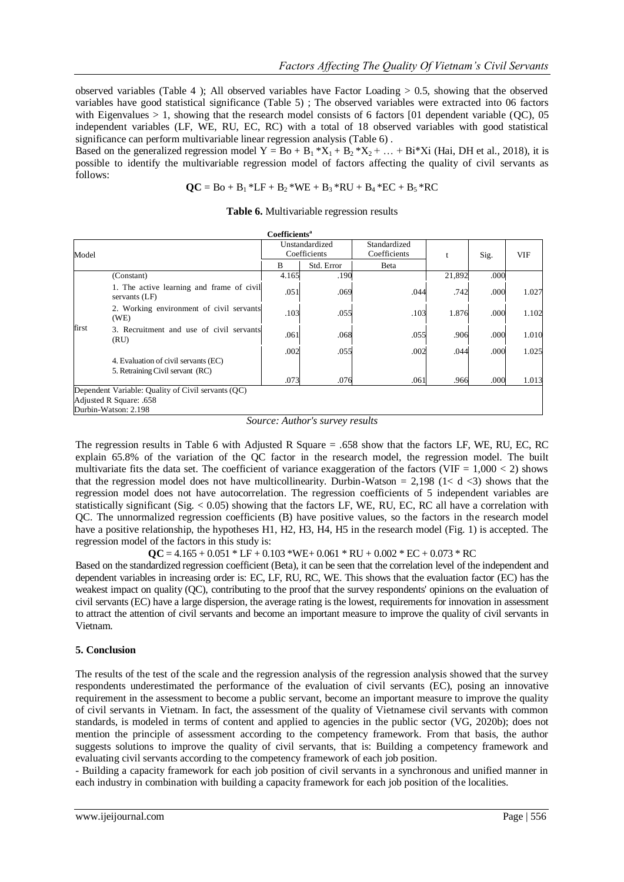observed variables (Table 4); All observed variables have Factor Loading  $> 0.5$ , showing that the observed variables have good statistical significance (Table 5) ; The observed variables were extracted into 06 factors with Eigenvalues  $> 1$ , showing that the research model consists of 6 factors [01 dependent variable (OC), 05 independent variables (LF, WE, RU, EC, RC) with a total of 18 observed variables with good statistical significance can perform multivariable linear regression analysis (Table 6) .

Based on the generalized regression model Y = Bo + B<sub>1</sub>  $*X_1 + B_2 *X_2 + ... + Bi*Xi$  (Hai, DH et al., 2018), it is possible to identify the multivariable regression model of factors affecting the quality of civil servants as follows:

$$
QC = Bo + B_1 * LF + B_2 * WE + B_3 * RU + B_4 * EC + B_5 * RC
$$

**Table 6.** Multivariable regression results

|       |                                                                          | Coefficients <sup>a</sup>      |              |                              |              |              |                |
|-------|--------------------------------------------------------------------------|--------------------------------|--------------|------------------------------|--------------|--------------|----------------|
| Model |                                                                          | Unstandardized<br>Coefficients |              | Standardized<br>Coefficients | t            | Sig.         | <b>VIF</b>     |
|       |                                                                          | B                              | Std. Error   | Beta                         |              |              |                |
|       | (Constant)                                                               | 4.165                          | .190         |                              | 21,892       | .000         |                |
| first | 1. The active learning and frame of civil<br>servants (LF)               | .051                           | .069         | .044                         | .742         | .000         | 1.027          |
|       | 2. Working environment of civil servants<br>(WE)                         | .103                           | .055         | .103                         | 1.876        | .000         | 1.102          |
|       | 3. Recruitment and use of civil servants<br>(RU)                         | .061                           | .068         | .055                         | .906         | .000         | 1.010          |
|       | 4. Evaluation of civil servants (EC)<br>5. Retraining Civil servant (RC) | .002<br>.073                   | .055<br>.076 | .002<br>.061                 | .044<br>.966 | .000<br>.000 | 1.025<br>1.013 |
|       | Dependent Variable: Quality of Civil servants (QC)                       |                                |              |                              |              |              |                |
|       | Adjusted R Square: .658                                                  |                                |              |                              |              |              |                |
|       | Durbin-Watson: 2.198                                                     |                                |              |                              |              |              |                |

*Source: Author's survey results*

The regression results in Table 6 with Adjusted R Square = .658 show that the factors LF, WE, RU, EC, RC explain 65.8% of the variation of the QC factor in the research model, the regression model. The built multivariate fits the data set. The coefficient of variance exaggeration of the factors (VIF =  $1,000 < 2$ ) shows that the regression model does not have multicollinearity. Durbin-Watson = 2,198 (1< d <3) shows that the regression model does not have autocorrelation. The regression coefficients of 5 independent variables are statistically significant (Sig.  $< 0.05$ ) showing that the factors LF, WE, RU, EC, RC all have a correlation with QC. The unnormalized regression coefficients (B) have positive values, so the factors in the research model have a positive relationship, the hypotheses H1, H2, H3, H4, H5 in the research model (Fig. 1) is accepted. The regression model of the factors in this study is:

 $QC = 4.165 + 0.051 * LF + 0.103 * WE + 0.061 * RU + 0.002 * EC + 0.073 * RC$ 

Based on the standardized regression coefficient (Beta), it can be seen that the correlation level of the independent and dependent variables in increasing order is: EC, LF, RU, RC, WE. This shows that the evaluation factor (EC) has the weakest impact on quality (QC), contributing to the proof that the survey respondents' opinions on the evaluation of civil servants (EC) have a large dispersion, the average rating is the lowest, requirements for innovation in assessment to attract the attention of civil servants and become an important measure to improve the quality of civil servants in Vietnam.

## **5. Conclusion**

The results of the test of the scale and the regression analysis of the regression analysis showed that the survey respondents underestimated the performance of the evaluation of civil servants (EC), posing an innovative requirement in the assessment to become a public servant, become an important measure to improve the quality of civil servants in Vietnam. In fact, the assessment of the quality of Vietnamese civil servants with common standards, is modeled in terms of content and applied to agencies in the public sector (VG, 2020b); does not mention the principle of assessment according to the competency framework. From that basis, the author suggests solutions to improve the quality of civil servants, that is: Building a competency framework and evaluating civil servants according to the competency framework of each job position.

- Building a capacity framework for each job position of civil servants in a synchronous and unified manner in each industry in combination with building a capacity framework for each job position of the localities.